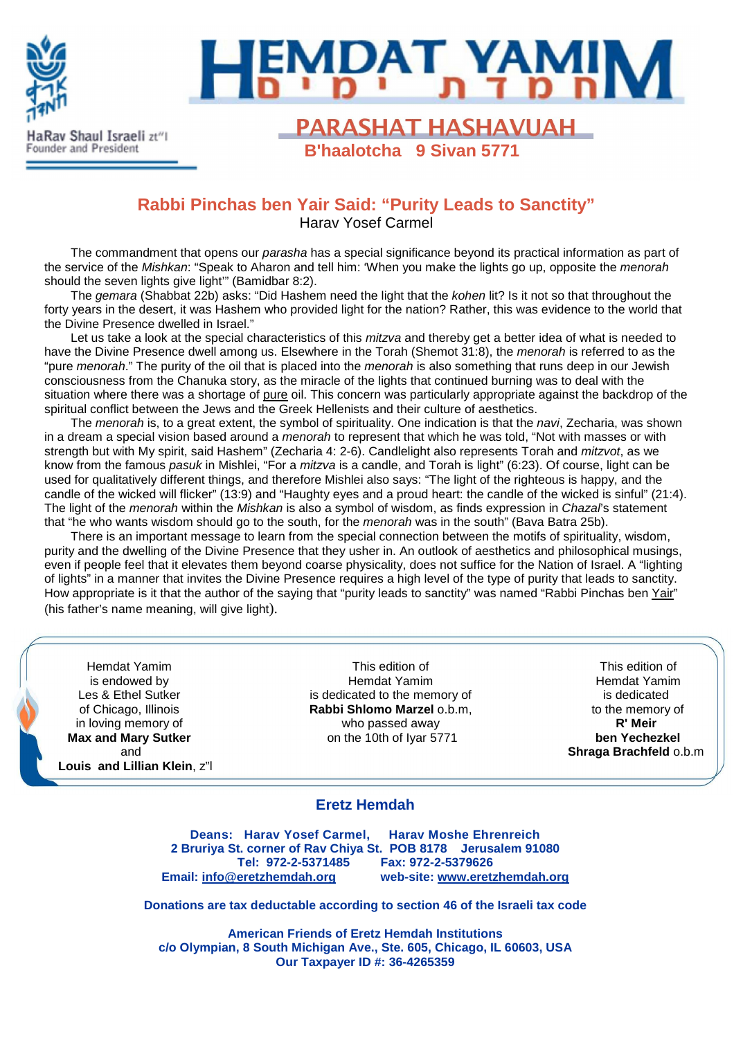

# **EMDAT YAMIN**

**PARASHAT HASHAVUAH B'haalotcha 9 Sivan 5771**

# **Rabbi Pinchas ben Yair Said: "Purity Leads to Sanctity"** Harav Yosef Carmel

The commandment that opens our *parasha* has a special significance beyond its practical information as part of the service of the Mishkan: "Speak to Aharon and tell him: 'When you make the lights go up, opposite the menorah should the seven lights give light" (Bamidbar 8:2).

The gemara (Shabbat 22b) asks: "Did Hashem need the light that the kohen lit? Is it not so that throughout the forty years in the desert, it was Hashem who provided light for the nation? Rather, this was evidence to the world that the Divine Presence dwelled in Israel."

Let us take a look at the special characteristics of this *mitzva* and thereby get a better idea of what is needed to have the Divine Presence dwell among us. Elsewhere in the Torah (Shemot 31:8), the *menorah* is referred to as the "pure menorah." The purity of the oil that is placed into the menorah is also something that runs deep in our Jewish consciousness from the Chanuka story, as the miracle of the lights that continued burning was to deal with the situation where there was a shortage of pure oil. This concern was particularly appropriate against the backdrop of the spiritual conflict between the Jews and the Greek Hellenists and their culture of aesthetics.

The *menorah* is, to a great extent, the symbol of spirituality. One indication is that the *navi*, Zecharia, was shown in a dream a special vision based around a menorah to represent that which he was told, "Not with masses or with strength but with My spirit, said Hashem" (Zecharia 4: 2-6). Candlelight also represents Torah and *mitzvot*, as we know from the famous pasuk in Mishlei, "For a mitzva is a candle, and Torah is light" (6:23). Of course, light can be used for qualitatively different things, and therefore Mishlei also says: "The light of the righteous is happy, and the candle of the wicked will flicker" (13:9) and "Haughty eyes and a proud heart: the candle of the wicked is sinful" (21:4). The light of the menorah within the Mishkan is also a symbol of wisdom, as finds expression in Chazal's statement that "he who wants wisdom should go to the south, for the *menorah* was in the south" (Bava Batra 25b).

There is an important message to learn from the special connection between the motifs of spirituality, wisdom, purity and the dwelling of the Divine Presence that they usher in. An outlook of aesthetics and philosophical musings, even if people feel that it elevates them beyond coarse physicality, does not suffice for the Nation of Israel. A "lighting of lights" in a manner that invites the Divine Presence requires a high level of the type of purity that leads to sanctity. How appropriate is it that the author of the saying that "purity leads to sanctity" was named "Rabbi Pinchas ben Yair" (his father's name meaning, will give light).

Hemdat Yamim is endowed by Les & Ethel Sutker of Chicago, Illinois in loving memory of **Max and Mary Sutker** and **Louis and Lillian Klein**, z"l

This edition of Hemdat Yamim is dedicated to the memory of **Rabbi Shlomo Marzel** o.b.m, who passed away on the 10th of Iyar 5771

This edition of Hemdat Yamim is dedicated to the memory of **R' Meir ben Yechezkel Shraga Brachfeld** o.b.m

#### **Eretz Hemdah**

**Deans: Harav Yosef Carmel, Harav Moshe Ehrenreich 2 Bruriya St. corner of Rav Chiya St. POB 8178 Jerusalem 91080 Tel: 972-2-5371485 Fax: 972-2-5379626 Email: info@eretzhemdah.org web-site: www.eretzhemdah.org**

**Donations are tax deductable according to section 46 of the Israeli tax code** 

**American Friends of Eretz Hemdah Institutions c/o Olympian, 8 South Michigan Ave., Ste. 605, Chicago, IL 60603, USA Our Taxpayer ID #: 36-4265359**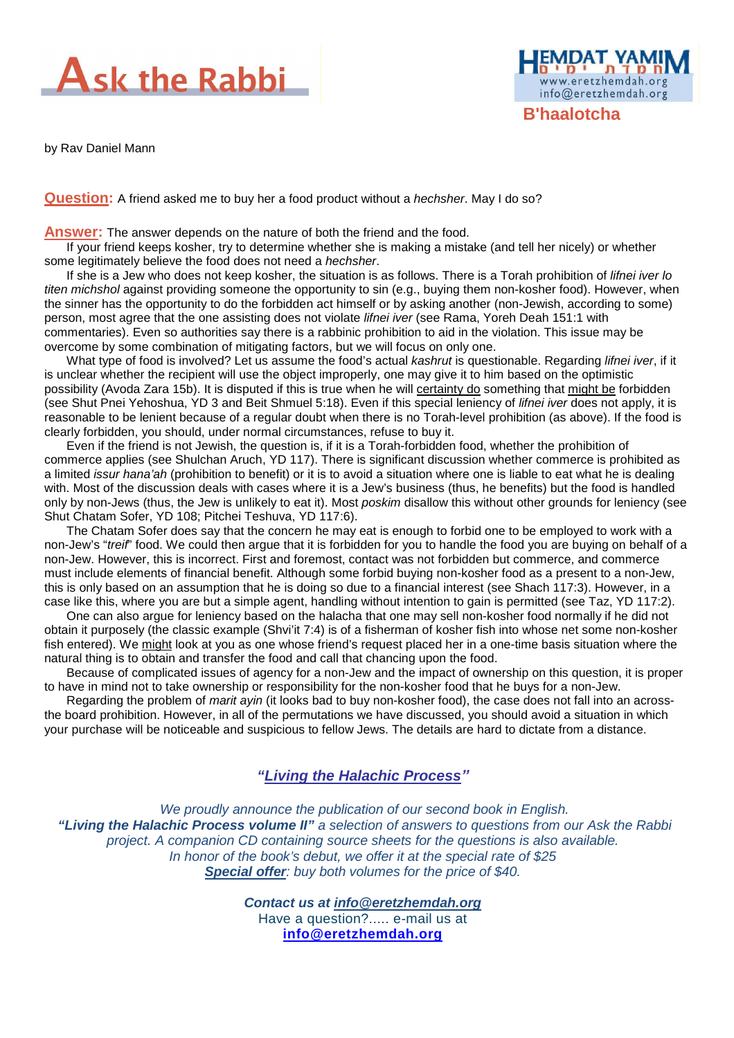

by Rav Daniel Mann



**Answer:** The answer depends on the nature of both the friend and the food.

If your friend keeps kosher, try to determine whether she is making a mistake (and tell her nicely) or whether some legitimately believe the food does not need a hechsher.

**B'haalotcha** 

www.eretzhemdah.org info@eretzhemdah.org

If she is a Jew who does not keep kosher, the situation is as follows. There is a Torah prohibition of *lifnei iver lo* titen michshol against providing someone the opportunity to sin (e.g., buying them non-kosher food). However, when the sinner has the opportunity to do the forbidden act himself or by asking another (non-Jewish, according to some) person, most agree that the one assisting does not violate lifnei iver (see Rama, Yoreh Deah 151:1 with commentaries). Even so authorities say there is a rabbinic prohibition to aid in the violation. This issue may be overcome by some combination of mitigating factors, but we will focus on only one.

What type of food is involved? Let us assume the food's actual kashrut is questionable. Regarding lifnei iver, if it is unclear whether the recipient will use the object improperly, one may give it to him based on the optimistic possibility (Avoda Zara 15b). It is disputed if this is true when he will certainty do something that might be forbidden (see Shut Pnei Yehoshua, YD 3 and Beit Shmuel 5:18). Even if this special leniency of lifnei iver does not apply, it is reasonable to be lenient because of a regular doubt when there is no Torah-level prohibition (as above). If the food is clearly forbidden, you should, under normal circumstances, refuse to buy it.

Even if the friend is not Jewish, the question is, if it is a Torah-forbidden food, whether the prohibition of commerce applies (see Shulchan Aruch, YD 117). There is significant discussion whether commerce is prohibited as a limited issur hana'ah (prohibition to benefit) or it is to avoid a situation where one is liable to eat what he is dealing with. Most of the discussion deals with cases where it is a Jew's business (thus, he benefits) but the food is handled only by non-Jews (thus, the Jew is unlikely to eat it). Most *poskim* disallow this without other grounds for leniency (see Shut Chatam Sofer, YD 108; Pitchei Teshuva, YD 117:6).

The Chatam Sofer does say that the concern he may eat is enough to forbid one to be employed to work with a non-Jew's "treif" food. We could then argue that it is forbidden for you to handle the food you are buying on behalf of a non-Jew. However, this is incorrect. First and foremost, contact was not forbidden but commerce, and commerce must include elements of financial benefit. Although some forbid buying non-kosher food as a present to a non-Jew, this is only based on an assumption that he is doing so due to a financial interest (see Shach 117:3). However, in a case like this, where you are but a simple agent, handling without intention to gain is permitted (see Taz, YD 117:2).

One can also argue for leniency based on the halacha that one may sell non-kosher food normally if he did not obtain it purposely (the classic example (Shvi'it 7:4) is of a fisherman of kosher fish into whose net some non-kosher fish entered). We might look at you as one whose friend's request placed her in a one-time basis situation where the natural thing is to obtain and transfer the food and call that chancing upon the food.

Because of complicated issues of agency for a non-Jew and the impact of ownership on this question, it is proper to have in mind not to take ownership or responsibility for the non-kosher food that he buys for a non-Jew.

Regarding the problem of marit ayin (it looks bad to buy non-kosher food), the case does not fall into an acrossthe board prohibition. However, in all of the permutations we have discussed, you should avoid a situation in which your purchase will be noticeable and suspicious to fellow Jews. The details are hard to dictate from a distance.

### **"Living the Halachic Process***"*

We proudly announce the publication of our second book in English.  **"Living the Halachic Process volume II"** a selection of answers to questions from our Ask the Rabbi project. A companion CD containing source sheets for the questions is also available. In honor of the book's debut, we offer it at the special rate of \$25 **Special offer:** buy both volumes for the price of \$40.

> **Contact us at info@eretzhemdah.org** Have a question?..... e-mail us at **info@eretzhemdah.org**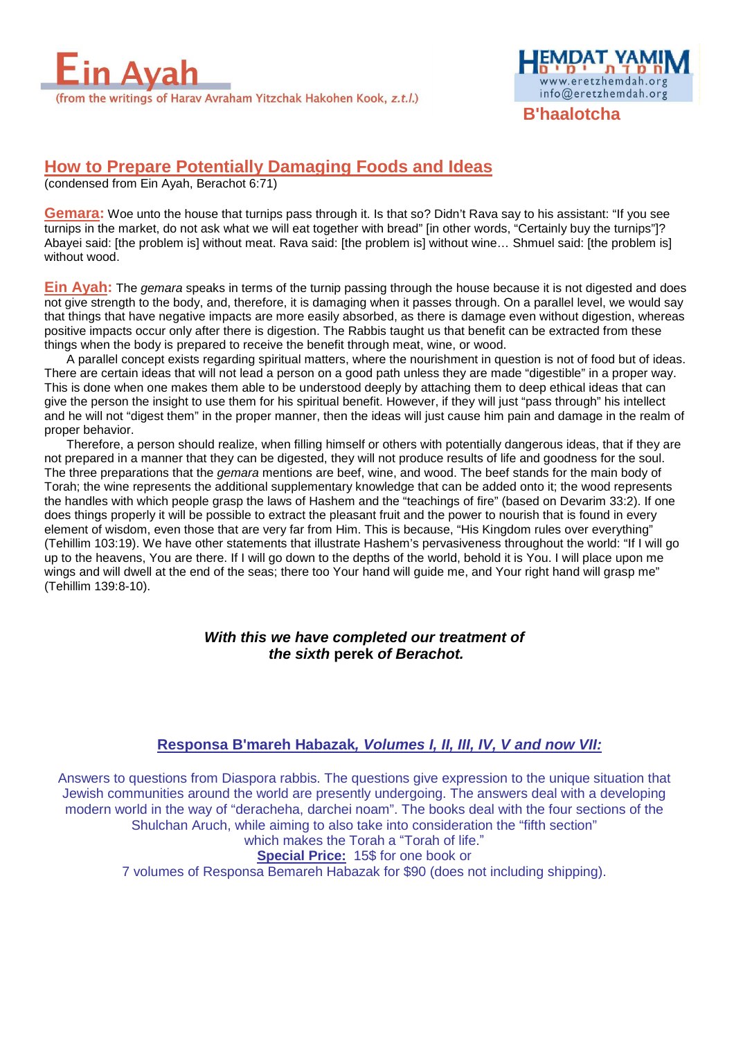



**B'haalotcha** 

# **How to Prepare Potentially Damaging Foods and Ideas**

(condensed from Ein Ayah, Berachot 6:71)

**Gemara:** Woe unto the house that turnips pass through it. Is that so? Didn't Rava say to his assistant: "If you see turnips in the market, do not ask what we will eat together with bread" [in other words, "Certainly buy the turnips"]? Abayei said: [the problem is] without meat. Rava said: [the problem is] without wine… Shmuel said: [the problem is] without wood.

**Ein Ayah:** The gemara speaks in terms of the turnip passing through the house because it is not digested and does not give strength to the body, and, therefore, it is damaging when it passes through. On a parallel level, we would say that things that have negative impacts are more easily absorbed, as there is damage even without digestion, whereas positive impacts occur only after there is digestion. The Rabbis taught us that benefit can be extracted from these things when the body is prepared to receive the benefit through meat, wine, or wood.

A parallel concept exists regarding spiritual matters, where the nourishment in question is not of food but of ideas. There are certain ideas that will not lead a person on a good path unless they are made "digestible" in a proper way. This is done when one makes them able to be understood deeply by attaching them to deep ethical ideas that can give the person the insight to use them for his spiritual benefit. However, if they will just "pass through" his intellect and he will not "digest them" in the proper manner, then the ideas will just cause him pain and damage in the realm of proper behavior.

Therefore, a person should realize, when filling himself or others with potentially dangerous ideas, that if they are not prepared in a manner that they can be digested, they will not produce results of life and goodness for the soul. The three preparations that the *gemara* mentions are beef, wine, and wood. The beef stands for the main body of Torah; the wine represents the additional supplementary knowledge that can be added onto it; the wood represents the handles with which people grasp the laws of Hashem and the "teachings of fire" (based on Devarim 33:2). If one does things properly it will be possible to extract the pleasant fruit and the power to nourish that is found in every element of wisdom, even those that are very far from Him. This is because, "His Kingdom rules over everything" (Tehillim 103:19). We have other statements that illustrate Hashem's pervasiveness throughout the world: "If I will go up to the heavens, You are there. If I will go down to the depths of the world, behold it is You. I will place upon me wings and will dwell at the end of the seas; there too Your hand will guide me, and Your right hand will grasp me" (Tehillim 139:8-10).

#### **With this we have completed our treatment of the sixth perek of Berachot.**

#### **Responsa B'mareh Habazak, Volumes I, II, III, IV, V and now VII:**

Answers to questions from Diaspora rabbis. The questions give expression to the unique situation that Jewish communities around the world are presently undergoing. The answers deal with a developing modern world in the way of "deracheha, darchei noam". The books deal with the four sections of the Shulchan Aruch, while aiming to also take into consideration the "fifth section"

which makes the Torah a "Torah of life." **Special Price:** 15\$ for one book or

7 volumes of Responsa Bemareh Habazak for \$90 (does not including shipping).